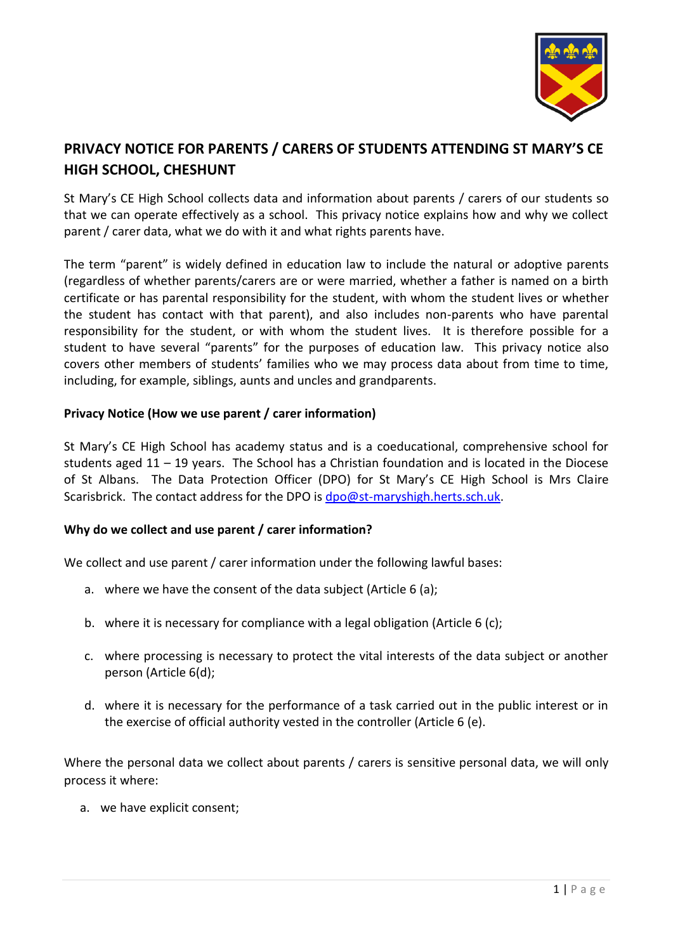

# **PRIVACY NOTICE FOR PARENTS / CARERS OF STUDENTS ATTENDING ST MARY'S CE HIGH SCHOOL, CHESHUNT**

St Mary's CE High School collects data and information about parents / carers of our students so that we can operate effectively as a school. This privacy notice explains how and why we collect parent / carer data, what we do with it and what rights parents have.

The term "parent" is widely defined in education law to include the natural or adoptive parents (regardless of whether parents/carers are or were married, whether a father is named on a birth certificate or has parental responsibility for the student, with whom the student lives or whether the student has contact with that parent), and also includes non-parents who have parental responsibility for the student, or with whom the student lives. It is therefore possible for a student to have several "parents" for the purposes of education law. This privacy notice also covers other members of students' families who we may process data about from time to time, including, for example, siblings, aunts and uncles and grandparents.

## **Privacy Notice (How we use parent / carer information)**

St Mary's CE High School has academy status and is a coeducational, comprehensive school for students aged 11 – 19 years. The School has a Christian foundation and is located in the Diocese of St Albans. The Data Protection Officer (DPO) for St Mary's CE High School is Mrs Claire Scarisbrick. The contact address for the DPO is [dpo@st-maryshigh.herts.sch.uk.](mailto:dpo@st-maryshigh.herts.sch.uk)

# **Why do we collect and use parent / carer information?**

We collect and use parent / carer information under the following lawful bases:

- a. where we have the consent of the data subject (Article 6 (a);
- b. where it is necessary for compliance with a legal obligation (Article 6 (c);
- c. where processing is necessary to protect the vital interests of the data subject or another person (Article 6(d);
- d. where it is necessary for the performance of a task carried out in the public interest or in the exercise of official authority vested in the controller (Article 6 (e).

Where the personal data we collect about parents / carers is sensitive personal data, we will only process it where:

a. we have explicit consent;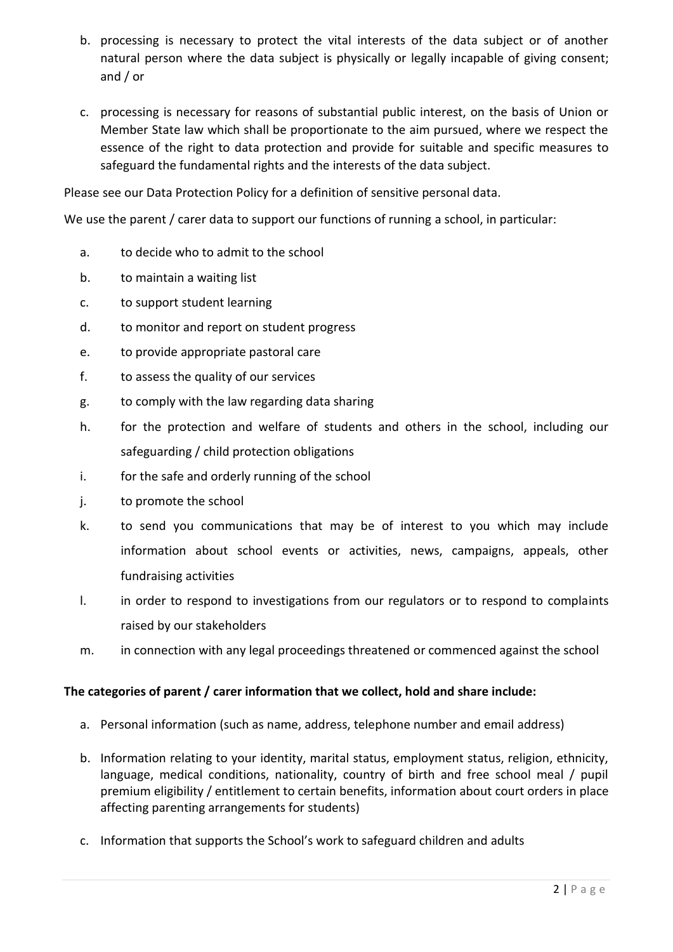- b. processing is necessary to protect the vital interests of the data subject or of another natural person where the data subject is physically or legally incapable of giving consent; and / or
- c. processing is necessary for reasons of substantial public interest, on the basis of Union or Member State law which shall be proportionate to the aim pursued, where we respect the essence of the right to data protection and provide for suitable and specific measures to safeguard the fundamental rights and the interests of the data subject.

Please see our Data Protection Policy for a definition of sensitive personal data.

We use the parent / carer data to support our functions of running a school, in particular:

- a. to decide who to admit to the school
- b. to maintain a waiting list
- c. to support student learning
- d. to monitor and report on student progress
- e. to provide appropriate pastoral care
- f. to assess the quality of our services
- g. to comply with the law regarding data sharing
- h. for the protection and welfare of students and others in the school, including our safeguarding / child protection obligations
- i. for the safe and orderly running of the school
- j. to promote the school
- k. to send you communications that may be of interest to you which may include information about school events or activities, news, campaigns, appeals, other fundraising activities
- l. in order to respond to investigations from our regulators or to respond to complaints raised by our stakeholders
- m. in connection with any legal proceedings threatened or commenced against the school

# **The categories of parent / carer information that we collect, hold and share include:**

- a. Personal information (such as name, address, telephone number and email address)
- b. Information relating to your identity, marital status, employment status, religion, ethnicity, language, medical conditions, nationality, country of birth and free school meal / pupil premium eligibility / entitlement to certain benefits, information about court orders in place affecting parenting arrangements for students)
- c. Information that supports the School's work to safeguard children and adults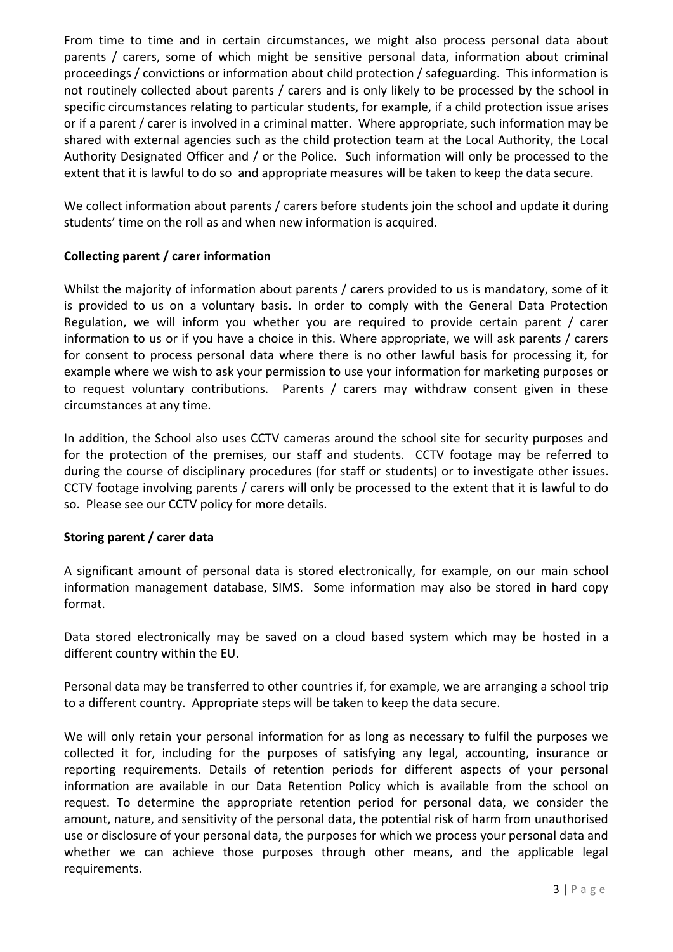From time to time and in certain circumstances, we might also process personal data about parents / carers, some of which might be sensitive personal data, information about criminal proceedings / convictions or information about child protection / safeguarding. This information is not routinely collected about parents / carers and is only likely to be processed by the school in specific circumstances relating to particular students, for example, if a child protection issue arises or if a parent / carer is involved in a criminal matter. Where appropriate, such information may be shared with external agencies such as the child protection team at the Local Authority, the Local Authority Designated Officer and / or the Police. Such information will only be processed to the extent that it is lawful to do so and appropriate measures will be taken to keep the data secure.

We collect information about parents / carers before students join the school and update it during students' time on the roll as and when new information is acquired.

# **Collecting parent / carer information**

Whilst the majority of information about parents / carers provided to us is mandatory, some of it is provided to us on a voluntary basis. In order to comply with the General Data Protection Regulation, we will inform you whether you are required to provide certain parent / carer information to us or if you have a choice in this. Where appropriate, we will ask parents / carers for consent to process personal data where there is no other lawful basis for processing it, for example where we wish to ask your permission to use your information for marketing purposes or to request voluntary contributions. Parents / carers may withdraw consent given in these circumstances at any time.

In addition, the School also uses CCTV cameras around the school site for security purposes and for the protection of the premises, our staff and students. CCTV footage may be referred to during the course of disciplinary procedures (for staff or students) or to investigate other issues. CCTV footage involving parents / carers will only be processed to the extent that it is lawful to do so. Please see our CCTV policy for more details.

# **Storing parent / carer data**

A significant amount of personal data is stored electronically, for example, on our main school information management database, SIMS. Some information may also be stored in hard copy format.

Data stored electronically may be saved on a cloud based system which may be hosted in a different country within the EU.

Personal data may be transferred to other countries if, for example, we are arranging a school trip to a different country. Appropriate steps will be taken to keep the data secure.

We will only retain your personal information for as long as necessary to fulfil the purposes we collected it for, including for the purposes of satisfying any legal, accounting, insurance or reporting requirements. Details of retention periods for different aspects of your personal information are available in our Data Retention Policy which is available from the school on request. To determine the appropriate retention period for personal data, we consider the amount, nature, and sensitivity of the personal data, the potential risk of harm from unauthorised use or disclosure of your personal data, the purposes for which we process your personal data and whether we can achieve those purposes through other means, and the applicable legal requirements.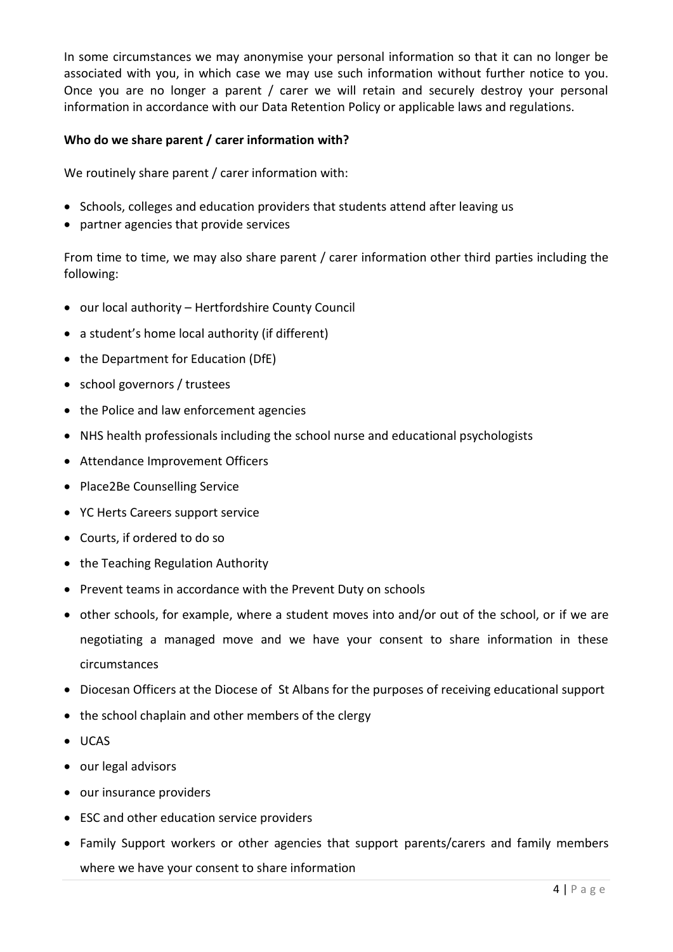In some circumstances we may anonymise your personal information so that it can no longer be associated with you, in which case we may use such information without further notice to you. Once you are no longer a parent / carer we will retain and securely destroy your personal information in accordance with our Data Retention Policy or applicable laws and regulations.

## **Who do we share parent / carer information with?**

We routinely share parent / carer information with:

- Schools, colleges and education providers that students attend after leaving us
- partner agencies that provide services

From time to time, we may also share parent / carer information other third parties including the following:

- our local authority Hertfordshire County Council
- a student's home local authority (if different)
- the Department for Education (DfE)
- school governors / trustees
- the Police and law enforcement agencies
- NHS health professionals including the school nurse and educational psychologists
- Attendance Improvement Officers
- Place2Be Counselling Service
- YC Herts Careers support service
- Courts, if ordered to do so
- the Teaching Regulation Authority
- Prevent teams in accordance with the Prevent Duty on schools
- other schools, for example, where a student moves into and/or out of the school, or if we are negotiating a managed move and we have your consent to share information in these circumstances
- Diocesan Officers at the Diocese of St Albans for the purposes of receiving educational support
- the school chaplain and other members of the clergy
- UCAS
- our legal advisors
- our insurance providers
- ESC and other education service providers
- Family Support workers or other agencies that support parents/carers and family members where we have your consent to share information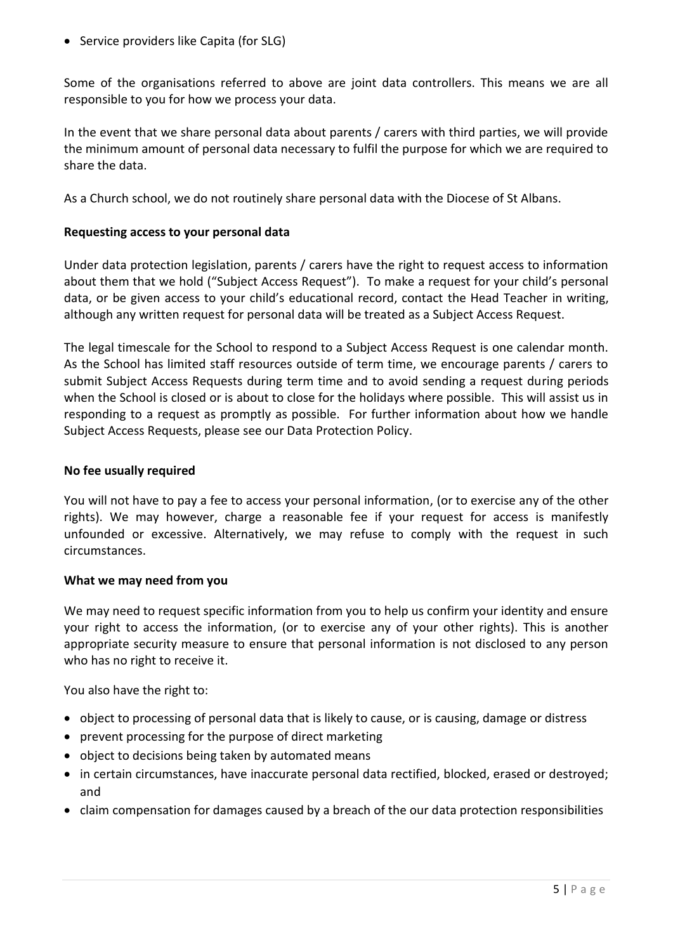• Service providers like Capita (for SLG)

Some of the organisations referred to above are joint data controllers. This means we are all responsible to you for how we process your data.

In the event that we share personal data about parents / carers with third parties, we will provide the minimum amount of personal data necessary to fulfil the purpose for which we are required to share the data.

As a Church school, we do not routinely share personal data with the Diocese of St Albans.

## **Requesting access to your personal data**

Under data protection legislation, parents / carers have the right to request access to information about them that we hold ("Subject Access Request"). To make a request for your child's personal data, or be given access to your child's educational record, contact the Head Teacher in writing, although any written request for personal data will be treated as a Subject Access Request.

The legal timescale for the School to respond to a Subject Access Request is one calendar month. As the School has limited staff resources outside of term time, we encourage parents / carers to submit Subject Access Requests during term time and to avoid sending a request during periods when the School is closed or is about to close for the holidays where possible. This will assist us in responding to a request as promptly as possible. For further information about how we handle Subject Access Requests, please see our Data Protection Policy.

#### **No fee usually required**

You will not have to pay a fee to access your personal information, (or to exercise any of the other rights). We may however, charge a reasonable fee if your request for access is manifestly unfounded or excessive. Alternatively, we may refuse to comply with the request in such circumstances.

## **What we may need from you**

We may need to request specific information from you to help us confirm your identity and ensure your right to access the information, (or to exercise any of your other rights). This is another appropriate security measure to ensure that personal information is not disclosed to any person who has no right to receive it.

You also have the right to:

- object to processing of personal data that is likely to cause, or is causing, damage or distress
- prevent processing for the purpose of direct marketing
- object to decisions being taken by automated means
- in certain circumstances, have inaccurate personal data rectified, blocked, erased or destroyed; and
- claim compensation for damages caused by a breach of the our data protection responsibilities